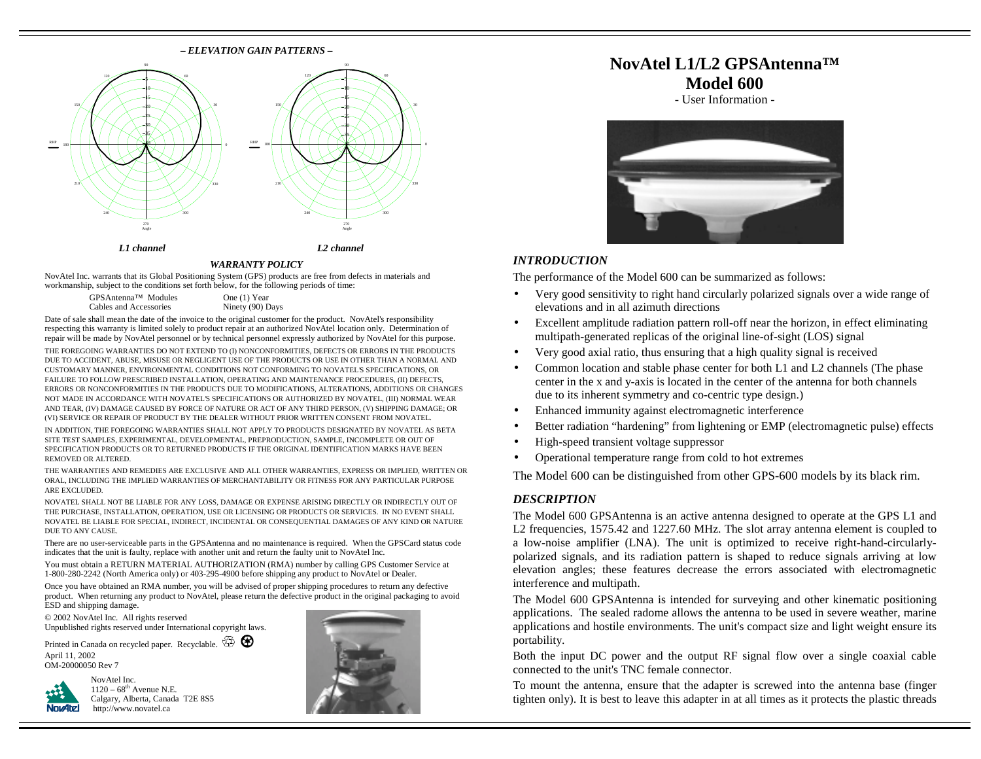#### **–** *ELEVATION GAIN PATTERNS* **–** 60120150180240270 Angle 30033051015- 20 25-60 3540 060120150180210240RHPAngle 5=10 152025303540*L1 channel L2 channel*

#### *WARRANTY POLICY*

NovAtel Inc. warrants that its Global Positioning System (GPS) products are free from defects in materials and workmanship, subject to the conditions set forth below, for the following periods of time:

| $GPSAntenna^{TM}$ Modules | One (1) Year     |
|---------------------------|------------------|
| Cables and Accessories    | Ninety (90) Days |
|                           |                  |

Date of sale shall mean the date of the invoice to the original customer for the product. NovAtel's responsibility respecting this warranty is limited solely to product repair at an authorized NovAtel location only. Determination of repair will be made by NovAtel personnel or by technical personnel expressly authorized by NovAtel for this purpose. THE FOREGOING WARRANTIES DO NOT EXTEND TO (I) NONCONFORMITIES, DEFECTS OR ERRORS IN THE PRODUCTS DUE TO ACCIDENT, ABUSE, MISUSE OR NEGLIGENT USE OF THE PRODUCTS OR USE IN OTHER THAN A NORMAL AND CUSTOMARY MANNER, ENVIRONMENTAL CONDITIONS NOT CONFORMING TO NOVATEL'S SPECIFICATIONS, OR FAILURE TO FOLLOW PRESCRIBED INSTALLATION, OPERATING AND MAINTENANCE PROCEDURES, (II) DEFECTS, ERRORS OR NONCONFORMITIES IN THE PRODUCTS DUE TO MODIFICATIONS, ALTERATIONS, ADDITIONS OR CHANGES NOT MADE IN ACCORDANCE WITH NOVATEL'S SPECIFICATIONS OR AUTHORIZED BY NOVATEL, (III) NORMAL WEAR AND TEAR, (IV) DAMAGE CAUSED BY FORCE OF NATURE OR ACT OF ANY THIRD PERSON, (V) SHIPPING DAMAGE; OR (VI) SERVICE OR REPAIR OF PRODUCT BY THE DEALER WITHOUT PRIOR WRITTEN CONSENT FROM NOVATEL.

IN ADDITION, THE FOREGOING WARRANTIES SHALL NOT APPLY TO PRODUCTS DESIGNATED BY NOVATEL AS BETA SITE TEST SAMPLES, EXPERIMENTAL, DEVELOPMENTAL, PREPRODUCTION, SAMPLE, INCOMPLETE OR OUT OF SPECIFICATION PRODUCTS OR TO RETURNED PRODUCTS IF THE ORIGINAL IDENTIFICATION MARKS HAVE BEEN REMOVED OR ALTERED.

THE WARRANTIES AND REMEDIES ARE EXCLUSIVE AND ALL OTHER WARRANTIES, EXPRESS OR IMPLIED, WRITTEN OR ORAL, INCLUDING THE IMPLIED WARRANTIES OF MERCHANTABILITY OR FITNESS FOR ANY PARTICULAR PURPOSE ARE EXCLUDED.

NOVATEL SHALL NOT BE LIABLE FOR ANY LOSS, DAMAGE OR EXPENSE ARISING DIRECTLY OR INDIRECTLY OUT OF THE PURCHASE, INSTALLATION, OPERATION, USE OR LICENSING OR PRODUCTS OR SERVICES. IN NO EVENT SHALL NOVATEL BE LIABLE FOR SPECIAL, INDIRECT, INCIDENTAL OR CONSEQUENTIAL DAMAGES OF ANY KIND OR NATURE DUE TO ANY CAUSE.

There are no user-serviceable parts in the GPSAntenna and no maintenance is required. When the GPSCard status code indicates that the unit is faulty, replace with another unit and return the faulty unit to NovAtel Inc.

You must obtain a RETURN MATERIAL AUTHORIZATION (RMA) number by calling GPS Customer Service at 1-800-280-2242 (North America only) or 403-295-4900 before shipping any product to NovAtel or Dealer.

Once you have obtained an RMA number, you will be advised of proper shipping procedures to return any defective product. When returning any product to NovAtel, please return the defective product in the original packaging to avoid ESD and shipping damage.

© 2002 NovAtel Inc. All rights reserved Unpublished rights reserved under International copyright laws.

Printed in Canada on recycled paper. Recyclable. April 11, 2002 OM-20000050 Rev 7

NovAtel Inc.



 $1120 - 68$ <sup>th</sup> Avenue N.E. Calgary, Alberta, Canada T2E 8S5 http://www.novatel.ca



# **NovAtel L1/L2 GPSAntenna™ Model 600**

- User Information -



#### *INTRODUCTION*

The performance of the Model 600 can be summarized as follows:

- Very good sensitivity to right hand circularly polarized signals over a wide range of elevations and in all azimuth directions
- Excellent amplitude radiation pattern roll-off near the horizon, in effect eliminating multipath-generated replicas of the original line-of-sight (LOS) signal
- Very good axial ratio, thus ensuring that a high quality signal is received
- Common location and stable phase center for both L1 and L2 channels (The phase center in the x and y-axis is located in the center of the antenna for both channels due to its inherent symmetry and co-centric type design.)
- Enhanced immunity against electromagnetic interference
- Better radiation "hardening" from lightening or EMP (electromagnetic pulse) effects
- High-speed transient voltage suppressor
- Operational temperature range from cold to hot extremes

The Model 600 can be distinguished from other GPS-600 models by its black rim.

#### *DESCRIPTION*

The Model 600 GPSAntenna is an active antenna designed to operate at the GPS L1 and L2 frequencies, 1575.42 and 1227.60 MHz. The slot array antenna element is coupled to a low-noise amplifier (LNA). The unit is optimized to receive right-hand-circularlypolarized signals, and its radiation pattern is shaped to reduce signals arriving at low elevation angles; these features decrease the errors associated with electromagnetic interference and multipath.

The Model 600 GPSAntenna is intended for surveying and other kinematic positioning applications. The sealed radome allows the antenna to be used in severe weather, marine applications and hostile environments. The unit's compact size and light weight ensure its portability.

Both the input DC power and the output RF signal flow over a single coaxial cable connected to the unit's TNC female connector.

To mount the antenna, ensure that the adapter is screwed into the antenna base (finger tighten only). It is best to leave this adapter in at all times as it protects the plastic threads